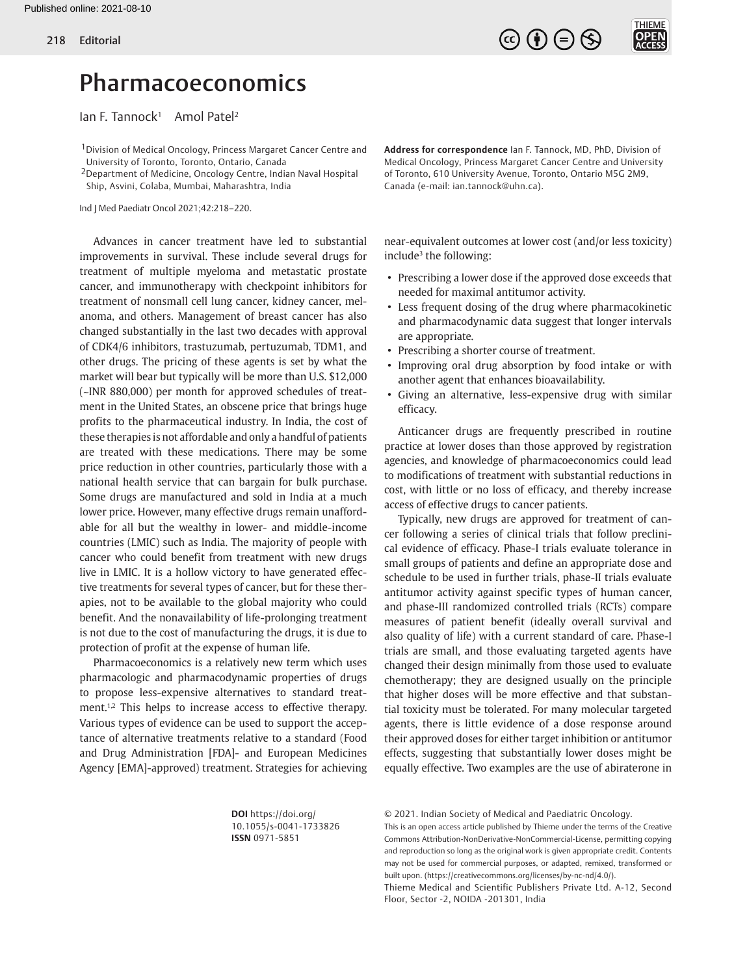

## Pharmacoeconomics

 $I$ an F. Tannock<sup>1</sup> Amol Patel<sup>2</sup>

<sup>1</sup> Division of Medical Oncology, Princess Margaret Cancer Centre and University of Toronto, Toronto, Ontario, Canada

2Department of Medicine, Oncology Centre, Indian Naval Hospital Ship, Asvini, Colaba, Mumbai, Maharashtra, India

Ind J Med Paediatr Oncol 2021;42:218–220.

Advances in cancer treatment have led to substantial improvements in survival. These include several drugs for treatment of multiple myeloma and metastatic prostate cancer, and immunotherapy with checkpoint inhibitors for treatment of nonsmall cell lung cancer, kidney cancer, melanoma, and others. Management of breast cancer has also changed substantially in the last two decades with approval of CDK4/6 inhibitors, trastuzumab, pertuzumab, TDM1, and other drugs. The pricing of these agents is set by what the market will bear but typically will be more than U.S. \$12,000 (~INR 880,000) per month for approved schedules of treatment in the United States, an obscene price that brings huge profits to the pharmaceutical industry. In India, the cost of these therapies is not affordable and only a handful of patients are treated with these medications. There may be some price reduction in other countries, particularly those with a national health service that can bargain for bulk purchase. Some drugs are manufactured and sold in India at a much lower price. However, many effective drugs remain unaffordable for all but the wealthy in lower- and middle-income countries (LMIC) such as India. The majority of people with cancer who could benefit from treatment with new drugs live in LMIC. It is a hollow victory to have generated effective treatments for several types of cancer, but for these therapies, not to be available to the global majority who could benefit. And the nonavailability of life-prolonging treatment is not due to the cost of manufacturing the drugs, it is due to protection of profit at the expense of human life.

<span id="page-0-1"></span><span id="page-0-0"></span>Pharmacoeconomics is a relatively new term which uses pharmacologic and pharmacodynamic properties of drugs to propose less-expensive alternatives to standard treat-ment.<sup>[1,](#page-2-0)[2](#page-2-1)</sup> This helps to increase access to effective therapy. Various types of evidence can be used to support the acceptance of alternative treatments relative to a standard (Food and Drug Administration [FDA]- and European Medicines Agency [EMA]-approved) treatment. Strategies for achieving

**Address for correspondence** Ian F. Tannock, MD, PhD, Division of Medical Oncology, Princess Margaret Cancer Centre and University of Toronto, 610 University Avenue, Toronto, Ontario M5G 2M9, Canada (e-mail: ian.tannock@uhn.ca).

<span id="page-0-2"></span>near-equivalent outcomes at lower cost (and/or less toxicity) include<sup>3</sup> the following:

- Prescribing a lower dose if the approved dose exceeds that needed for maximal antitumor activity.
- Less frequent dosing of the drug where pharmacokinetic and pharmacodynamic data suggest that longer intervals are appropriate.
- Prescribing a shorter course of treatment.
- Improving oral drug absorption by food intake or with another agent that enhances bioavailability.
- Giving an alternative, less-expensive drug with similar efficacy.

Anticancer drugs are frequently prescribed in routine practice at lower doses than those approved by registration agencies, and knowledge of pharmacoeconomics could lead to modifications of treatment with substantial reductions in cost, with little or no loss of efficacy, and thereby increase access of effective drugs to cancer patients.

Typically, new drugs are approved for treatment of cancer following a series of clinical trials that follow preclinical evidence of efficacy. Phase-I trials evaluate tolerance in small groups of patients and define an appropriate dose and schedule to be used in further trials, phase-II trials evaluate antitumor activity against specific types of human cancer, and phase-III randomized controlled trials (RCTs) compare measures of patient benefit (ideally overall survival and also quality of life) with a current standard of care. Phase-I trials are small, and those evaluating targeted agents have changed their design minimally from those used to evaluate chemotherapy; they are designed usually on the principle that higher doses will be more effective and that substantial toxicity must be tolerated. For many molecular targeted agents, there is little evidence of a dose response around their approved doses for either target inhibition or antitumor effects, suggesting that substantially lower doses might be equally effective. Two examples are the use of abiraterone in

**DOI** https://doi.org/ 10.1055/s-0041-1733826 **ISSN** 0971-5851

© 2021. Indian Society of Medical and Paediatric Oncology.

This is an open access article published by Thieme under the terms of the Creative Commons Attribution-NonDerivative-NonCommercial-License, permitting copying and reproduction so long as the original work is given appropriate credit. Contents may not be used for commercial purposes, or adapted, remixed, transformed or built upon. (https://creativecommons.org/licenses/by-nc-nd/4.0/).

Thieme Medical and Scientific Publishers Private Ltd. A-12, Second Floor, Sector -2, NOIDA -201301, India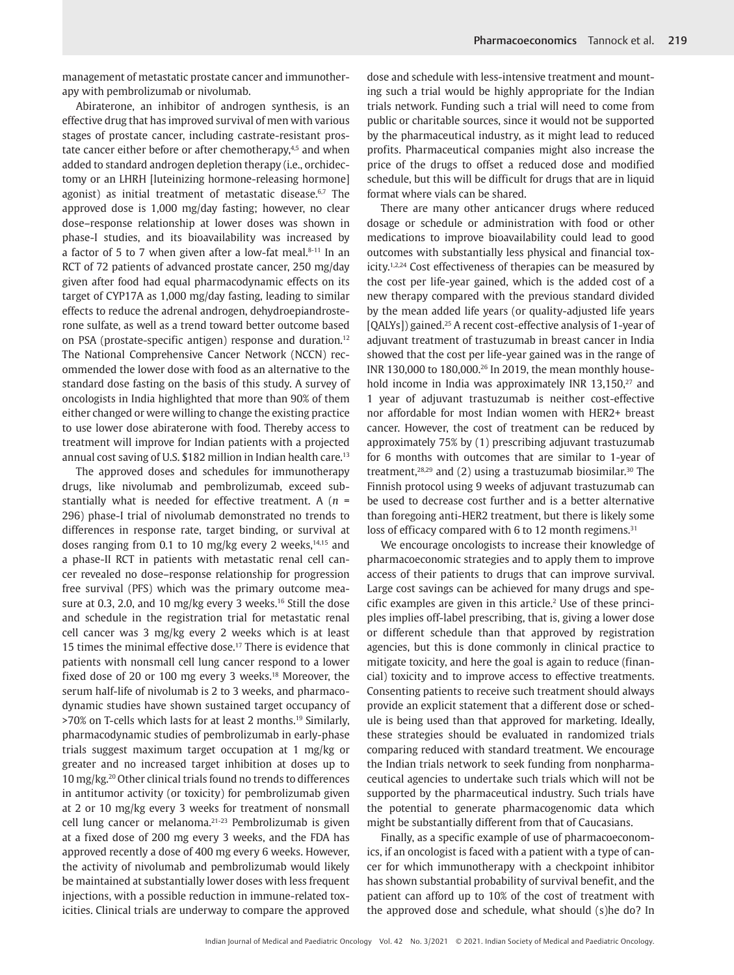management of metastatic prostate cancer and immunotherapy with pembrolizumab or nivolumab.

<span id="page-1-4"></span><span id="page-1-2"></span><span id="page-1-0"></span>Abiraterone, an inhibitor of androgen synthesis, is an effective drug that has improved survival of men with various stages of prostate cancer, including castrate-resistant pros-tate cancer either before or after chemotherapy,<sup>[4](#page-2-3)[,5](#page-2-4)</sup> and when added to standard androgen depletion therapy (i.e., orchidectomy or an LHRH [luteinizing hormone-releasing hormone] agonist) as initial treatment of metastatic disease.<sup>[6](#page-2-5),[7](#page-2-6)</sup> The approved dose is 1,000 mg/day fasting; however, no clear dose–response relationship at lower doses was shown in phase-I studies, and its bioavailability was increased by a factor of 5 to 7 when given after a low-fat meal. $8-11$  $8-11$  In an RCT of 72 patients of advanced prostate cancer, 250 mg/day given after food had equal pharmacodynamic effects on its target of CYP17A as 1,000 mg/day fasting, leading to similar effects to reduce the adrenal androgen, dehydroepiandrosterone sulfate, as well as a trend toward better outcome based on PSA (prostate-specific antigen) response and duration[.12](#page-2-9) The National Comprehensive Cancer Network (NCCN) recommended the lower dose with food as an alternative to the standard dose fasting on the basis of this study. A survey of oncologists in India highlighted that more than 90% of them either changed or were willing to change the existing practice to use lower dose abiraterone with food. Thereby access to treatment will improve for Indian patients with a projected annual cost saving of U.S. \$182 million in Indian health care[.13](#page-2-10)

<span id="page-1-14"></span><span id="page-1-13"></span><span id="page-1-12"></span><span id="page-1-11"></span><span id="page-1-10"></span><span id="page-1-8"></span><span id="page-1-7"></span><span id="page-1-6"></span>The approved doses and schedules for immunotherapy drugs, like nivolumab and pembrolizumab, exceed substantially what is needed for effective treatment. A (*n* = 296) phase-I trial of nivolumab demonstrated no trends to differences in response rate, target binding, or survival at doses ranging from 0.1 to 10 mg/kg every 2 weeks, $14,15$  $14,15$  and a phase-II RCT in patients with metastatic renal cell cancer revealed no dose–response relationship for progression free survival (PFS) which was the primary outcome mea-sure at 0.3, 2.0, and 10 mg/kg every 3 weeks.<sup>[16](#page-2-13)</sup> Still the dose and schedule in the registration trial for metastatic renal cell cancer was 3 mg/kg every 2 weeks which is at least 15 times the minimal effective dose.<sup>17</sup> There is evidence that patients with nonsmall cell lung cancer respond to a lower fixed dose of 20 or 100 mg every 3 weeks.<sup>18</sup> Moreover, the serum half-life of nivolumab is 2 to 3 weeks, and pharmacodynamic studies have shown sustained target occupancy of >70% on T-cells which lasts for at least 2 months.[19](#page-2-16) Similarly, pharmacodynamic studies of pembrolizumab in early-phase trials suggest maximum target occupation at 1 mg/kg or greater and no increased target inhibition at doses up to 10 mg/kg[.20](#page-2-17) Other clinical trials found no trends to differences in antitumor activity (or toxicity) for pembrolizumab given at 2 or 10 mg/kg every 3 weeks for treatment of nonsmall cell lung cancer or melanoma[.21](#page-2-18)[-23](#page-2-19) Pembrolizumab is given at a fixed dose of 200 mg every 3 weeks, and the FDA has approved recently a dose of 400 mg every 6 weeks. However, the activity of nivolumab and pembrolizumab would likely be maintained at substantially lower doses with less frequent injections, with a possible reduction in immune-related toxicities. Clinical trials are underway to compare the approved

dose and schedule with less-intensive treatment and mounting such a trial would be highly appropriate for the Indian trials network. Funding such a trial will need to come from public or charitable sources, since it would not be supported by the pharmaceutical industry, as it might lead to reduced profits. Pharmaceutical companies might also increase the price of the drugs to offset a reduced dose and modified schedule, but this will be difficult for drugs that are in liquid format where vials can be shared.

<span id="page-1-19"></span><span id="page-1-18"></span><span id="page-1-17"></span><span id="page-1-5"></span><span id="page-1-3"></span><span id="page-1-1"></span>There are many other anticancer drugs where reduced dosage or schedule or administration with food or other medications to improve bioavailability could lead to good outcomes with substantially less physical and financial tox-icity.<sup>[1,](#page-2-0)[2,](#page-2-1)24</sup> Cost effectiveness of therapies can be measured by the cost per life-year gained, which is the added cost of a new therapy compared with the previous standard divided by the mean added life years (or quality-adjusted life years [QALYs]) gained.<sup>[25](#page-2-21)</sup> A recent cost-effective analysis of 1-year of adjuvant treatment of trastuzumab in breast cancer in India showed that the cost per life-year gained was in the range of INR 130,000 to 180,000[.26](#page-2-22) In 2019, the mean monthly household income in India was approximately INR 13,150,<sup>27</sup> and 1 year of adjuvant trastuzumab is neither cost-effective nor affordable for most Indian women with HER2+ breast cancer. However, the cost of treatment can be reduced by approximately 75% by (1) prescribing adjuvant trastuzumab for 6 months with outcomes that are similar to 1-year of treatment, $28,29$  and (2) using a trastuzumab biosimilar.<sup>30</sup> The Finnish protocol using 9 weeks of adjuvant trastuzumab can be used to decrease cost further and is a better alternative than foregoing anti-HER2 treatment, but there is likely some loss of efficacy compared with 6 to 12 month regimens.<sup>31</sup>

<span id="page-1-24"></span><span id="page-1-23"></span><span id="page-1-22"></span><span id="page-1-21"></span><span id="page-1-20"></span><span id="page-1-9"></span>We encourage oncologists to increase their knowledge of pharmacoeconomic strategies and to apply them to improve access of their patients to drugs that can improve survival. Large cost savings can be achieved for many drugs and spe $c$ ific examples are given in this article.<sup>2</sup> Use of these principles implies off-label prescribing, that is, giving a lower dose or different schedule than that approved by registration agencies, but this is done commonly in clinical practice to mitigate toxicity, and here the goal is again to reduce (financial) toxicity and to improve access to effective treatments. Consenting patients to receive such treatment should always provide an explicit statement that a different dose or schedule is being used than that approved for marketing. Ideally, these strategies should be evaluated in randomized trials comparing reduced with standard treatment. We encourage the Indian trials network to seek funding from nonpharmaceutical agencies to undertake such trials which will not be supported by the pharmaceutical industry. Such trials have the potential to generate pharmacogenomic data which might be substantially different from that of Caucasians.

<span id="page-1-16"></span><span id="page-1-15"></span>Finally, as a specific example of use of pharmacoeconomics, if an oncologist is faced with a patient with a type of cancer for which immunotherapy with a checkpoint inhibitor has shown substantial probability of survival benefit, and the patient can afford up to 10% of the cost of treatment with the approved dose and schedule, what should (s)he do? In